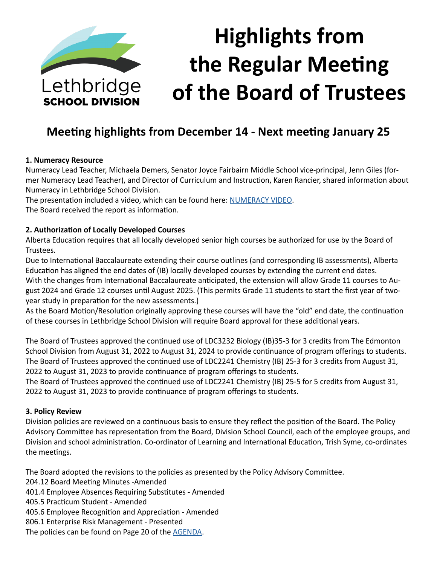

# **Highlights from the Regular Meeting of the Board of Trustees**

## **Meeting highlights from December 14 - Next meeting January 25**

#### **1. Numeracy Resource**

Numeracy Lead Teacher, Michaela Demers, Senator Joyce Fairbairn Middle School vice-principal, Jenn Giles (former Numeracy Lead Teacher), and Director of Curriculum and Instruction, Karen Rancier, shared information about Numeracy in Lethbridge School Division.

The presentation included a video, which can be found here: [NUMERACY VIDEO](https://www.youtube.com/watch?v=PfMDnH4Fx24). The Board received the report as information.

#### **2. Authorization of Locally Developed Courses**

Alberta Education requires that all locally developed senior high courses be authorized for use by the Board of Trustees.

Due to International Baccalaureate extending their course outlines (and corresponding IB assessments), Alberta Education has aligned the end dates of (IB) locally developed courses by extending the current end dates. With the changes from International Baccalaureate anticipated, the extension will allow Grade 11 courses to August 2024 and Grade 12 courses until August 2025. (This permits Grade 11 students to start the first year of twoyear study in preparation for the new assessments.)

As the Board Motion/Resolution originally approving these courses will have the "old" end date, the continuation of these courses in Lethbridge School Division will require Board approval for these additional years.

The Board of Trustees approved the continued use of LDC3232 Biology (IB)35-3 for 3 credits from The Edmonton School Division from August 31, 2022 to August 31, 2024 to provide continuance of program offerings to students. The Board of Trustees approved the continued use of LDC2241 Chemistry (IB) 25-3 for 3 credits from August 31, 2022 to August 31, 2023 to provide continuance of program offerings to students.

The Board of Trustees approved the continued use of LDC2241 Chemistry (IB) 25-5 for 5 credits from August 31, 2022 to August 31, 2023 to provide continuance of program offerings to students.

## **3. Policy Review**

Division policies are reviewed on a continuous basis to ensure they reflect the position of the Board. The Policy Advisory Committee has representation from the Board, Division School Council, each of the employee groups, and Division and school administration. Co-ordinator of Learning and International Education, Trish Syme, co-ordinates the meetings.

The Board adopted the revisions to the policies as presented by the Policy Advisory Committee.

204.12 Board Meeting Minutes -Amended

- 401.4 Employee Absences Requiring Substitutes Amended
- 405.5 Practicum Student Amended
- 405.6 Employee Recognition and Appreciation Amended
- 806.1 Enterprise Risk Management Presented
- The policies can be found on Page 20 of the [AGENDA](https://www.lethsd.ab.ca/download/376105).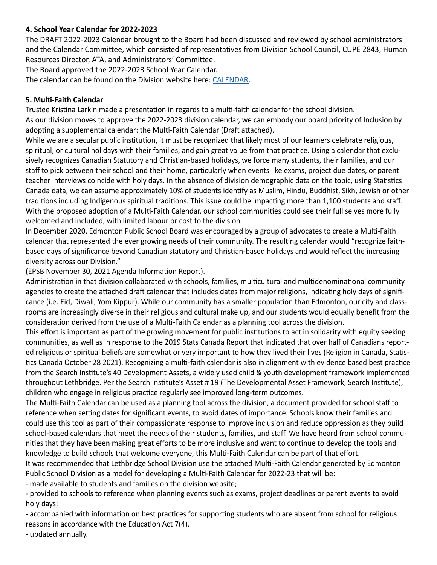## **4. School Year Calendar for 2022-2023**

The DRAFT 2022-2023 Calendar brought to the Board had been discussed and reviewed by school administrators and the Calendar Committee, which consisted of representatives from Division School Council, CUPE 2843, Human Resources Director, ATA, and Administrators' Committee.

The Board approved the 2022-2023 School Year Calendar.

The calendar can be found on the Division website here: [CALENDAR](https://www.lethsd.ab.ca/download/376471).

#### **5. Multi-Faith Calendar**

Trustee Kristina Larkin made a presentation in regards to a multi-faith calendar for the school division. As our division moves to approve the 2022-2023 division calendar, we can embody our board priority of Inclusion by adopting a supplemental calendar: the Multi-Faith Calendar (Draft attached).

While we are a secular public institution, it must be recognized that likely most of our learners celebrate religious, spiritual, or cultural holidays with their families, and gain great value from that practice. Using a calendar that exclusively recognizes Canadian Statutory and Christian-based holidays, we force many students, their families, and our staff to pick between their school and their home, particularly when events like exams, project due dates, or parent teacher interviews coincide with holy days. In the absence of division demographic data on the topic, using Statistics Canada data, we can assume approximately 10% of students identify as Muslim, Hindu, Buddhist, Sikh, Jewish or other traditions including Indigenous spiritual traditions. This issue could be impacting more than 1,100 students and staff. With the proposed adoption of a Multi-Faith Calendar, our school communities could see their full selves more fully welcomed and included, with limited labour or cost to the division.

In December 2020, Edmonton Public School Board was encouraged by a group of advocates to create a Multi-Faith calendar that represented the ever growing needs of their community. The resulting calendar would "recognize faithbased days of significance beyond Canadian statutory and Christian-based holidays and would reflect the increasing diversity across our Division."

(EPSB November 30, 2021 Agenda Information Report).

Administration in that division collaborated with schools, families, multicultural and multidenominational community agencies to create the attached draft calendar that includes dates from major religions, indicating holy days of significance (i.e. Eid, Diwali, Yom Kippur). While our community has a smaller population than Edmonton, our city and classrooms are increasingly diverse in their religious and cultural make up, and our students would equally benefit from the consideration derived from the use of a Multi-Faith Calendar as a planning tool across the division.

This effort is important as part of the growing movement for public institutions to act in solidarity with equity seeking communities, as well as in response to the 2019 Stats Canada Report that indicated that over half of Canadians reported religious or spiritual beliefs are somewhat or very important to how they lived their lives (Religion in Canada, Statistics Canada October 28 2021). Recognizing a multi-faith calendar is also in alignment with evidence based best practice from the Search Institute's 40 Development Assets, a widely used child & youth development framework implemented throughout Lethbridge. Per the Search Institute's Asset # 19 (The Developmental Asset Framework, Search Institute), children who engage in religious practice regularly see improved long-term outcomes.

The Multi-Faith Calendar can be used as a planning tool across the division, a document provided for school staff to reference when setting dates for significant events, to avoid dates of importance. Schools know their families and could use this tool as part of their compassionate response to improve inclusion and reduce oppression as they build school-based calendars that meet the needs of their students, families, and staff. We have heard from school communities that they have been making great efforts to be more inclusive and want to continue to develop the tools and knowledge to build schools that welcome everyone, this Multi-Faith Calendar can be part of that effort.

It was recommended that Lethbridge School Division use the attached Multi-Faith Calendar generated by Edmonton Public School Division as a model for developing a Multi-Faith Calendar for 2022-23 that will be:

- made available to students and families on the division website;

- provided to schools to reference when planning events such as exams, project deadlines or parent events to avoid holy days;

- accompanied with information on best practices for supporting students who are absent from school for religious reasons in accordance with the Education Act 7(4).

- updated annually.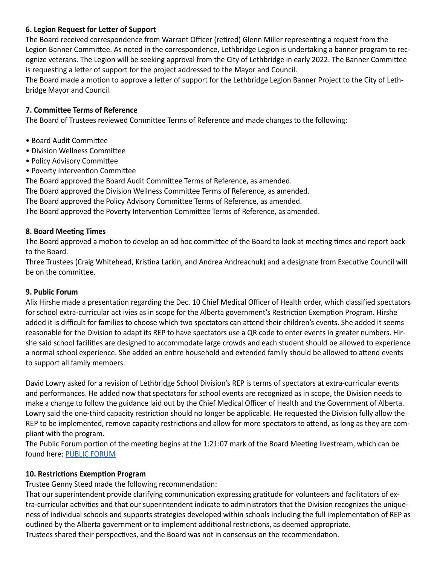## **6. Legion Request for Letter of Support**

The Board received correspondence from Warrant Officer (retired) Glenn Miller representing a request from the Legion Banner Committee. As noted in the correspondence, Lethbridge Legion is undertaking a banner program to recognize veterans. The Legion will be seeking approval from the City of Lethbridge in early 2022. The Banner Committee is requesting a letter of support for the project addressed to the Mayor and Council.

The Board made a motion to approve a letter of support for the Lethbridge Legion Banner Project to the City of Lethbridge Mayor and Council.

## **7. Committee Terms of Reference**

The Board of Trustees reviewed Committee Terms of Reference and made changes to the following:

- Board Audit Committee
- Division Wellness Committee
- Policy Advisory Committee
- Poverty Intervention Committee

The Board approved the Board Audit Committee Terms of Reference, as amended.

The Board approved the Division Wellness Committee Terms of Reference, as amended.

The Board approved the Policy Advisory Committee Terms of Reference, as amended.

The Board approved the Poverty Intervention Committee Terms of Reference, as amended.

## **8. Board Meeting Times**

The Board approved a motion to develop an ad hoc committee of the Board to look at meeting times and report back to the Board.

Three Trustees (Craig Whitehead, Kristina Larkin, and Andrea Andreachuk) and a designate from Executive Council will be on the committee.

## **9. Public Forum**

Alix Hirshe made a presentation regarding the Dec. 10 Chief Medical Officer of Health order, which classified spectators for school extra-curricular act ivies as in scope for the Alberta government's Restriction Exemption Program. Hirshe added it is difficult for families to choose which two spectators can attend their children's events. She added it seems reasonable for the Division to adapt its REP to have spectators use a QR code to enter events in greater numbers. Hirshe said school facilities are designed to accommodate large crowds and each student should be allowed to experience a normal school experience. She added an entire household and extended family should be allowed to attend events to support all family members.

David Lowry asked for a revision of Lethbridge School Division's REP is terms of spectators at extra-curricular events and performances. He added now that spectators for school events are recognized as in scope, the Division needs to make a change to follow the guidance laid out by the Chief Medical Officer of Health and the Government of Alberta. Lowry said the one-third capacity restriction should no longer be applicable. He requested the Division fully allow the REP to be implemented, remove capacity restrictions and allow for more spectators to attend, as long as they are compliant with the program.

The Public Forum portion of the meeting begins at the 1:21:07 mark of the Board Meeting livestream, which can be found here: [PUBLIC FORUM](https://www.youtube.com/watch?v=D9aJI4SvMWg&t=1647s)

## **10. Restrictions Exemption Program**

Trustee Genny Steed made the following recommendation:

That our superintendent provide clarifying communication expressing gratitude for volunteers and facilitators of extra-curricular activities and that our superintendent indicate to administrators that the Division recognizes the uniqueness of individual schools and supports strategies developed within schools including the full implementation of REP as outlined by the Alberta government or to implement additional restrictions, as deemed appropriate. Trustees shared their perspectives, and the Board was not in consensus on the recommendation.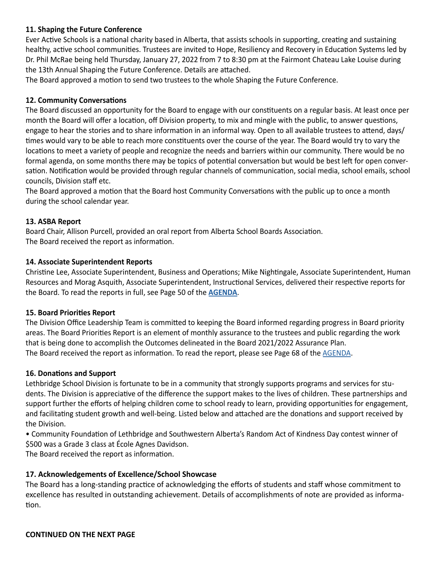### **11. Shaping the Future Conference**

Ever Active Schools is a national charity based in Alberta, that assists schools in supporting, creating and sustaining healthy, active school communities. Trustees are invited to Hope, Resiliency and Recovery in Education Systems led by Dr. Phil McRae being held Thursday, January 27, 2022 from 7 to 8:30 pm at the Fairmont Chateau Lake Louise during the 13th Annual Shaping the Future Conference. Details are attached.

The Board approved a motion to send two trustees to the whole Shaping the Future Conference.

#### **12. Community Conversations**

The Board discussed an opportunity for the Board to engage with our constituents on a regular basis. At least once per month the Board will offer a location, off Division property, to mix and mingle with the public, to answer questions, engage to hear the stories and to share information in an informal way. Open to all available trustees to attend, days/ times would vary to be able to reach more constituents over the course of the year. The Board would try to vary the locations to meet a variety of people and recognize the needs and barriers within our community. There would be no formal agenda, on some months there may be topics of potential conversation but would be best left for open conversation. Notification would be provided through regular channels of communication, social media, school emails, school councils, Division staff etc.

The Board approved a motion that the Board host Community Conversations with the public up to once a month during the school calendar year.

#### **13. ASBA Report**

Board Chair, Allison Purcell, provided an oral report from Alberta School Boards Association. The Board received the report as information.

#### **14. Associate Superintendent Reports**

Christine Lee, Associate Superintendent, Business and Operations; Mike Nightingale, Associate Superintendent, Human Resources and Morag Asquith, Associate Superintendent, Instructional Services, delivered their respective reports for the Board. To read the reports in full, see Page 50 of the **[AGENDA](https://www.lethsd.ab.ca/download/376105)**.

#### **15. Board Priorities Report**

The Division Office Leadership Team is committed to keeping the Board informed regarding progress in Board priority areas. The Board Priorities Report is an element of monthly assurance to the trustees and public regarding the work that is being done to accomplish the Outcomes delineated in the Board 2021/2022 Assurance Plan. The Board received the report as information. To read the report, please see Page 68 of the **AGENDA**.

#### **16. Donations and Support**

Lethbridge School Division is fortunate to be in a community that strongly supports programs and services for students. The Division is appreciative of the difference the support makes to the lives of children. These partnerships and support further the efforts of helping children come to school ready to learn, providing opportunities for engagement, and facilitating student growth and well-being. Listed below and attached are the donations and support received by the Division.

• Community Foundation of Lethbridge and Southwestern Alberta's Random Act of Kindness Day contest winner of \$500 was a Grade 3 class at École Agnes Davidson.

The Board received the report as information.

## **17. Acknowledgements of Excellence/School Showcase**

The Board has a long-standing practice of acknowledging the efforts of students and staff whose commitment to excellence has resulted in outstanding achievement. Details of accomplishments of note are provided as information.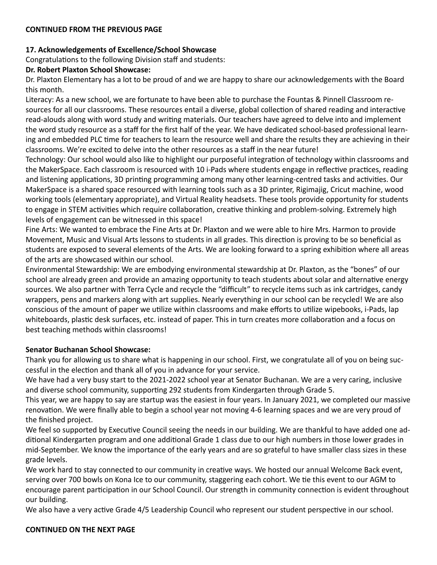#### **CONTINUED FROM THE PREVIOUS PAGE**

#### **17. Acknowledgements of Excellence/School Showcase**

Congratulations to the following Division staff and students:

#### **Dr. Robert Plaxton School Showcase:**

Dr. Plaxton Elementary has a lot to be proud of and we are happy to share our acknowledgements with the Board this month.

Literacy: As a new school, we are fortunate to have been able to purchase the Fountas & Pinnell Classroom resources for all our classrooms. These resources entail a diverse, global collection of shared reading and interactive read-alouds along with word study and writing materials. Our teachers have agreed to delve into and implement the word study resource as a staff for the first half of the year. We have dedicated school-based professional learning and embedded PLC time for teachers to learn the resource well and share the results they are achieving in their classrooms. We're excited to delve into the other resources as a staff in the near future!

Technology: Our school would also like to highlight our purposeful integration of technology within classrooms and the MakerSpace. Each classroom is resourced with 10 i-Pads where students engage in reflective practices, reading and listening applications, 3D printing programming among many other learning-centred tasks and activities. Our MakerSpace is a shared space resourced with learning tools such as a 3D printer, Rigimajig, Cricut machine, wood working tools (elementary appropriate), and Virtual Reality headsets. These tools provide opportunity for students to engage in STEM activities which require collaboration, creative thinking and problem-solving. Extremely high levels of engagement can be witnessed in this space!

Fine Arts: We wanted to embrace the Fine Arts at Dr. Plaxton and we were able to hire Mrs. Harmon to provide Movement, Music and Visual Arts lessons to students in all grades. This direction is proving to be so beneficial as students are exposed to several elements of the Arts. We are looking forward to a spring exhibition where all areas of the arts are showcased within our school.

Environmental Stewardship: We are embodying environmental stewardship at Dr. Plaxton, as the "bones" of our school are already green and provide an amazing opportunity to teach students about solar and alternative energy sources. We also partner with Terra Cycle and recycle the "difficult" to recycle items such as ink cartridges, candy wrappers, pens and markers along with art supplies. Nearly everything in our school can be recycled! We are also conscious of the amount of paper we utilize within classrooms and make efforts to utilize wipebooks, i-Pads, lap whiteboards, plastic desk surfaces, etc. instead of paper. This in turn creates more collaboration and a focus on best teaching methods within classrooms!

#### **Senator Buchanan School Showcase:**

Thank you for allowing us to share what is happening in our school. First, we congratulate all of you on being successful in the election and thank all of you in advance for your service.

We have had a very busy start to the 2021-2022 school year at Senator Buchanan. We are a very caring, inclusive and diverse school community, supporting 292 students from Kindergarten through Grade 5.

This year, we are happy to say are startup was the easiest in four years. In January 2021, we completed our massive renovation. We were finally able to begin a school year not moving 4-6 learning spaces and we are very proud of the finished project.

We feel so supported by Executive Council seeing the needs in our building. We are thankful to have added one additional Kindergarten program and one additional Grade 1 class due to our high numbers in those lower grades in mid-September. We know the importance of the early years and are so grateful to have smaller class sizes in these grade levels.

We work hard to stay connected to our community in creative ways. We hosted our annual Welcome Back event, serving over 700 bowls on Kona Ice to our community, staggering each cohort. We tie this event to our AGM to encourage parent participation in our School Council. Our strength in community connection is evident throughout our building.

We also have a very active Grade 4/5 Leadership Council who represent our student perspective in our school.

#### **CONTINUED ON THE NEXT PAGE**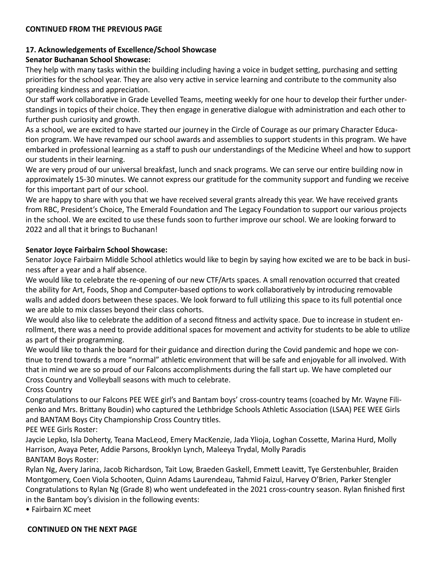#### **CONTINUED FROM THE PREVIOUS PAGE**

## **17. Acknowledgements of Excellence/School Showcase**

## **Senator Buchanan School Showcase:**

They help with many tasks within the building including having a voice in budget setting, purchasing and setting priorities for the school year. They are also very active in service learning and contribute to the community also spreading kindness and appreciation.

Our staff work collaborative in Grade Levelled Teams, meeting weekly for one hour to develop their further understandings in topics of their choice. They then engage in generative dialogue with administration and each other to further push curiosity and growth.

As a school, we are excited to have started our journey in the Circle of Courage as our primary Character Education program. We have revamped our school awards and assemblies to support students in this program. We have embarked in professional learning as a staff to push our understandings of the Medicine Wheel and how to support our students in their learning.

We are very proud of our universal breakfast, lunch and snack programs. We can serve our entire building now in approximately 15-30 minutes. We cannot express our gratitude for the community support and funding we receive for this important part of our school.

We are happy to share with you that we have received several grants already this year. We have received grants from RBC, President's Choice, The Emerald Foundation and The Legacy Foundation to support our various projects in the school. We are excited to use these funds soon to further improve our school. We are looking forward to 2022 and all that it brings to Buchanan!

#### **Senator Joyce Fairbairn School Showcase:**

Senator Joyce Fairbairn Middle School athletics would like to begin by saying how excited we are to be back in business after a year and a half absence.

We would like to celebrate the re-opening of our new CTF/Arts spaces. A small renovation occurred that created the ability for Art, Foods, Shop and Computer-based options to work collaboratively by introducing removable walls and added doors between these spaces. We look forward to full utilizing this space to its full potential once we are able to mix classes beyond their class cohorts.

We would also like to celebrate the addition of a second fitness and activity space. Due to increase in student enrollment, there was a need to provide additional spaces for movement and activity for students to be able to utilize as part of their programming.

We would like to thank the board for their guidance and direction during the Covid pandemic and hope we continue to trend towards a more "normal" athletic environment that will be safe and enjoyable for all involved. With that in mind we are so proud of our Falcons accomplishments during the fall start up. We have completed our Cross Country and Volleyball seasons with much to celebrate.

Cross Country

Congratulations to our Falcons PEE WEE girl's and Bantam boys' cross-country teams (coached by Mr. Wayne Filipenko and Mrs. Brittany Boudin) who captured the Lethbridge Schools Athletic Association (LSAA) PEE WEE Girls and BANTAM Boys City Championship Cross Country titles.

PEE WEE Girls Roster:

Jaycie Lepko, Isla Doherty, Teana MacLeod, Emery MacKenzie, Jada Ylioja, Loghan Cossette, Marina Hurd, Molly Harrison, Avaya Peter, Addie Parsons, Brooklyn Lynch, Maleeya Trydal, Molly Paradis BANTAM Boys Roster:

Rylan Ng, Avery Jarina, Jacob Richardson, Tait Low, Braeden Gaskell, Emmett Leavitt, Tye Gerstenbuhler, Braiden Montgomery, Coen Viola Schooten, Quinn Adams Laurendeau, Tahmid Faizul, Harvey O'Brien, Parker Stengler Congratulations to Rylan Ng (Grade 8) who went undefeated in the 2021 cross-country season. Rylan finished first in the Bantam boy's division in the following events:

• Fairbairn XC meet

#### **CONTINUED ON THE NEXT PAGE**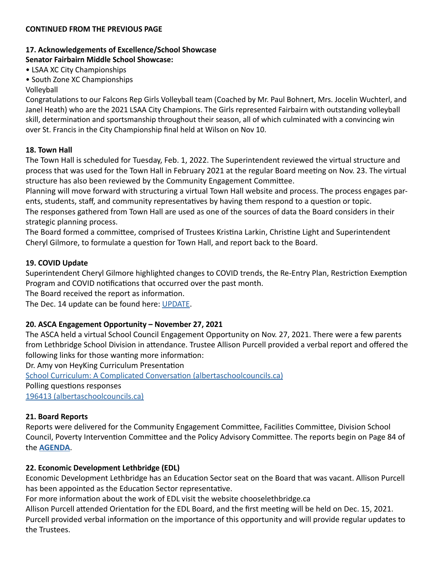#### **CONTINUED FROM THE PREVIOUS PAGE**

## **17. Acknowledgements of Excellence/School Showcase**

## **Senator Fairbairn Middle School Showcase:**

• LSAA XC City Championships

• South Zone XC Championships

## Volleyball

Congratulations to our Falcons Rep Girls Volleyball team (Coached by Mr. Paul Bohnert, Mrs. Jocelin Wuchterl, and Janel Heath) who are the 2021 LSAA City Champions. The Girls represented Fairbairn with outstanding volleyball skill, determination and sportsmanship throughout their season, all of which culminated with a convincing win over St. Francis in the City Championship final held at Wilson on Nov 10.

## **18. Town Hall**

The Town Hall is scheduled for Tuesday, Feb. 1, 2022. The Superintendent reviewed the virtual structure and process that was used for the Town Hall in February 2021 at the regular Board meeting on Nov. 23. The virtual structure has also been reviewed by the Community Engagement Committee.

Planning will move forward with structuring a virtual Town Hall website and process. The process engages parents, students, staff, and community representatives by having them respond to a question or topic.

The responses gathered from Town Hall are used as one of the sources of data the Board considers in their strategic planning process.

The Board formed a committee, comprised of Trustees Kristina Larkin, Christine Light and Superintendent Cheryl Gilmore, to formulate a question for Town Hall, and report back to the Board.

## **19. COVID Update**

Superintendent Cheryl Gilmore highlighted changes to COVID trends, the Re-Entry Plan, Restriction Exemption Program and COVID notifications that occurred over the past month.

The Board received the report as information.

The Dec. 14 update can be found here: [UPDATE](https://www.lethsd.ab.ca/download/376465).

## **20. ASCA Engagement Opportunity – November 27, 2021**

The ASCA held a virtual School Council Engagement Opportunity on Nov. 27, 2021. There were a few parents from Lethbridge School Division in attendance. Trustee Allison Purcell provided a verbal report and offered the following links for those wanting more information:

Dr. Amy von HeyKing Curriculum Presentation

[School Curriculum: A Complicated Conversation \(albertaschoolcouncils.ca\)](https://www.albertaschoolcouncils.ca/public/download/files/196230) Polling questions responses

[196413 \(albertaschoolcouncils.ca\)](https://www.albertaschoolcouncils.ca/public/download/files/196413)

## **21. Board Reports**

Reports were delivered for the Community Engagement Committee, Facilities Committee, Division School Council, Poverty Intervention Committee and the Policy Advisory Committee. The reports begin on Page 84 of the **[AGENDA](https://www.lethsd.ab.ca/download/376105)**.

## **22. Economic Development Lethbridge (EDL)**

Economic Development Lethbridge has an Education Sector seat on the Board that was vacant. Allison Purcell has been appointed as the Education Sector representative.

For more information about the work of EDL visit the website chooselethbridge.ca

Allison Purcell attended Orientation for the EDL Board, and the first meeting will be held on Dec. 15, 2021. Purcell provided verbal information on the importance of this opportunity and will provide regular updates to the Trustees.